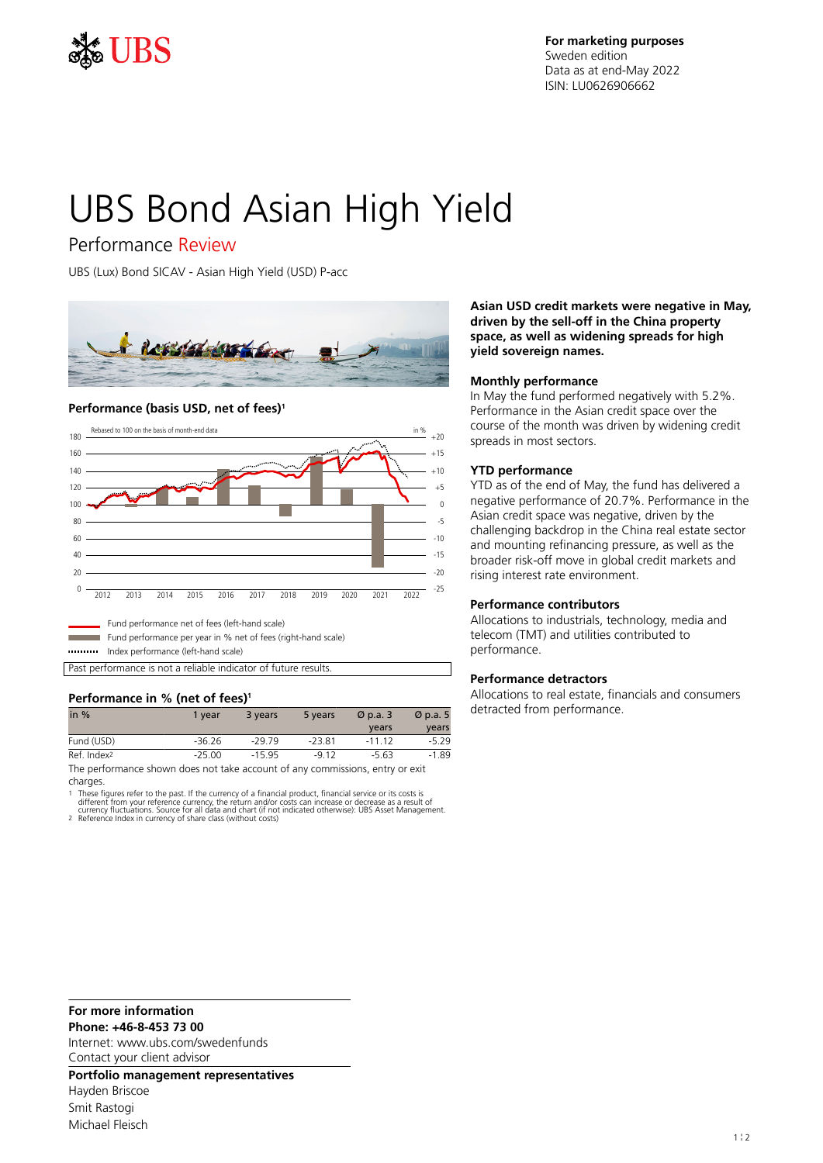

**For marketing purposes** Sweden edition Data as at end-May 2022 ISIN: LU0626906662

# UBS Bond Asian High Yield

# Performance Review

UBS (Lux) Bond SICAV - Asian High Yield (USD) P-acc



#### **Performance (basis USD, net of fees)<sup>1</sup>**



Fund performance net of fees (left-hand scale)

Fund performance per year in % net of fees (right-hand scale)

Index performance (left-hand scale)

Past performance is not a reliable indicator of future results.

### **Performance in % (net of fees)<sup>1</sup>**

| in $%$                                                                        | 1 year   | 3 years  | 5 years  | $\varnothing$ p.a. 3 | $\varnothing$ p.a. 5 |
|-------------------------------------------------------------------------------|----------|----------|----------|----------------------|----------------------|
|                                                                               |          |          |          | vears                | years                |
| Fund (USD)                                                                    | -36.26   | $-29.79$ | $-23.81$ | $-111$ 12            | $-5.29$              |
| Ref. Index <sup>2</sup>                                                       | $-25.00$ | $-15.95$ | $-912$   | -5.63                | $-1.89$              |
| The performance shown does not take account of any commissions, entry or exit |          |          |          |                      |                      |

charges.

1 These figures refer to the past. If the currency of a financial product, financial service or its costs is<br>different from your reference currency, the return and/or costs can increase or decrease as a result of<br>currency

**Asian USD credit markets were negative in May, driven by the sell-off in the China property space, as well as widening spreads for high yield sovereign names.**

#### **Monthly performance**

In May the fund performed negatively with 5.2%. Performance in the Asian credit space over the course of the month was driven by widening credit spreads in most sectors.

#### **YTD performance**

YTD as of the end of May, the fund has delivered a negative performance of 20.7%. Performance in the Asian credit space was negative, driven by the challenging backdrop in the China real estate sector and mounting refinancing pressure, as well as the broader risk-off move in global credit markets and rising interest rate environment.

#### **Performance contributors**

Allocations to industrials, technology, media and telecom (TMT) and utilities contributed to performance.

#### **Performance detractors**

Allocations to real estate, financials and consumers detracted from performance.

#### **For more information**

**Phone: +46-8-453 73 00**

Internet: www.ubs.com/swedenfunds Contact your client advisor

**Portfolio management representatives**

Hayden Briscoe Smit Rastogi Michael Fleisch